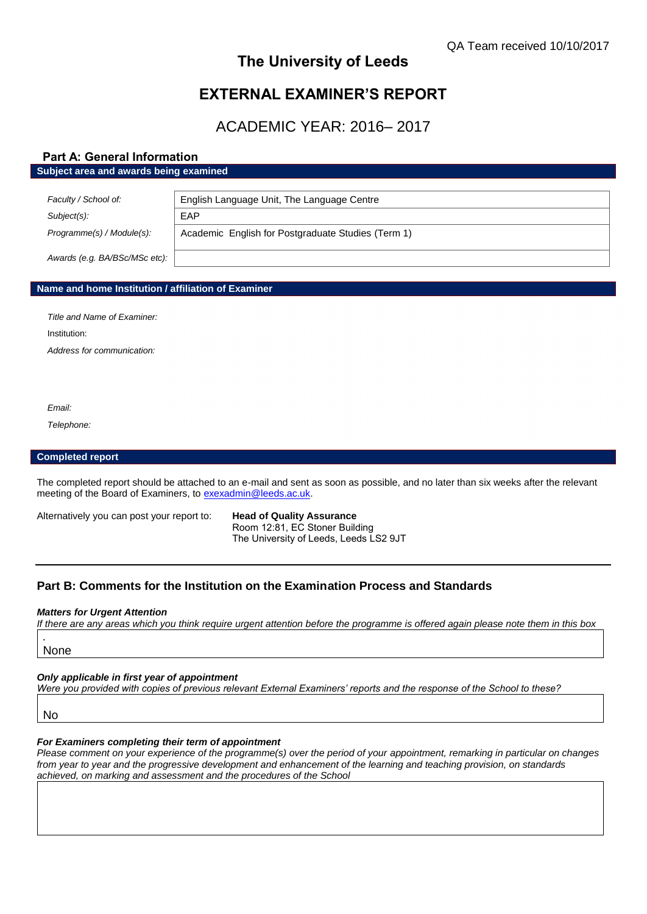# **The University of Leeds**

# **EXTERNAL EXAMINER'S REPORT**

# ACADEMIC YEAR: 2016– 2017

# **Part A: General Information**

### **Subject area and awards being examined**

| Faculty / School of:          | English Language Unit, The Language Centre         |
|-------------------------------|----------------------------------------------------|
| Subject(s):                   | EAP                                                |
| Programme(s) / Module(s):     | Academic English for Postgraduate Studies (Term 1) |
| Awards (e.g. BA/BSc/MSc etc): |                                                    |

## **Name and home Institution / affiliation of Examiner**

*Title and Name of Examiner:* Institution: *Address for communication:*

*Email:*

*Telephone:*

# **Completed report**

The completed report should be attached to an e-mail and sent as soon as possible, and no later than six weeks after the relevant meeting of the Board of Examiners, to [exexadmin@leeds.ac.uk.](mailto:exexadmin@leeds.ac.uk)

Alternatively you can post your report to: **Head of Quality Assurance**

Room 12:81, EC Stoner Building The University of Leeds, Leeds LS2 9JT

# **Part B: Comments for the Institution on the Examination Process and Standards**

#### *Matters for Urgent Attention*

*If there are any areas which you think require urgent attention before the programme is offered again please note them in this box*

None

*.*

### *Only applicable in first year of appointment*

*Were you provided with copies of previous relevant External Examiners' reports and the response of the School to these?* 

No

## *For Examiners completing their term of appointment*

*Please comment on your experience of the programme(s) over the period of your appointment, remarking in particular on changes from year to year and the progressive development and enhancement of the learning and teaching provision, on standards achieved, on marking and assessment and the procedures of the School*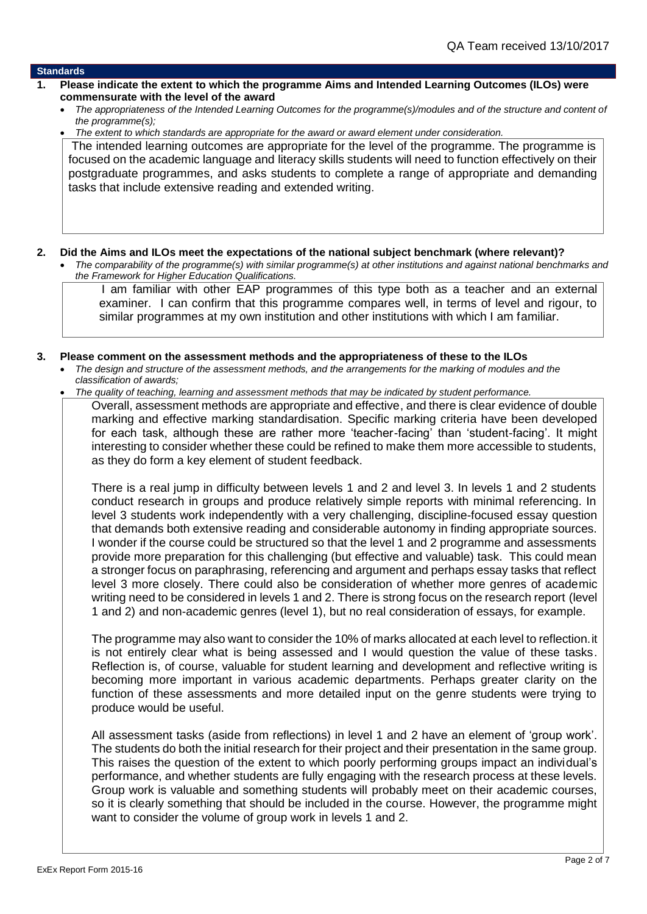## **Standards**

- **1. Please indicate the extent to which the programme Aims and Intended Learning Outcomes (ILOs) were commensurate with the level of the award**
	- *The appropriateness of the Intended Learning Outcomes for the programme(s)/modules and of the structure and content of the programme(s);*
	- *The extent to which standards are appropriate for the award or award element under consideration.*

The intended learning outcomes are appropriate for the level of the programme. The programme is focused on the academic language and literacy skills students will need to function effectively on their postgraduate programmes, and asks students to complete a range of appropriate and demanding tasks that include extensive reading and extended writing.

# **2. Did the Aims and ILOs meet the expectations of the national subject benchmark (where relevant)?**

 *The comparability of the programme(s) with similar programme(s) at other institutions and against national benchmarks and the Framework for Higher Education Qualifications.*

 I am familiar with other EAP programmes of this type both as a teacher and an external examiner. I can confirm that this programme compares well, in terms of level and rigour, to similar programmes at my own institution and other institutions with which I am familiar.

# **3. Please comment on the assessment methods and the appropriateness of these to the ILOs**

- *The design and structure of the assessment methods, and the arrangements for the marking of modules and the classification of awards;*
- *The quality of teaching, learning and assessment methods that may be indicated by student performance.*

Overall, assessment methods are appropriate and effective, and there is clear evidence of double marking and effective marking standardisation. Specific marking criteria have been developed for each task, although these are rather more 'teacher-facing' than 'student-facing'. It might interesting to consider whether these could be refined to make them more accessible to students, as they do form a key element of student feedback.

There is a real jump in difficulty between levels 1 and 2 and level 3. In levels 1 and 2 students conduct research in groups and produce relatively simple reports with minimal referencing. In level 3 students work independently with a very challenging, discipline-focused essay question that demands both extensive reading and considerable autonomy in finding appropriate sources. I wonder if the course could be structured so that the level 1 and 2 programme and assessments provide more preparation for this challenging (but effective and valuable) task. This could mean a stronger focus on paraphrasing, referencing and argument and perhaps essay tasks that reflect level 3 more closely. There could also be consideration of whether more genres of academic writing need to be considered in levels 1 and 2. There is strong focus on the research report (level 1 and 2) and non-academic genres (level 1), but no real consideration of essays, for example.

The programme may also want to consider the 10% of marks allocated at each level to reflection.it is not entirely clear what is being assessed and I would question the value of these tasks. Reflection is, of course, valuable for student learning and development and reflective writing is becoming more important in various academic departments. Perhaps greater clarity on the function of these assessments and more detailed input on the genre students were trying to produce would be useful.

All assessment tasks (aside from reflections) in level 1 and 2 have an element of 'group work'. The students do both the initial research for their project and their presentation in the same group. This raises the question of the extent to which poorly performing groups impact an individual's performance, and whether students are fully engaging with the research process at these levels. Group work is valuable and something students will probably meet on their academic courses, so it is clearly something that should be included in the course. However, the programme might want to consider the volume of group work in levels 1 and 2.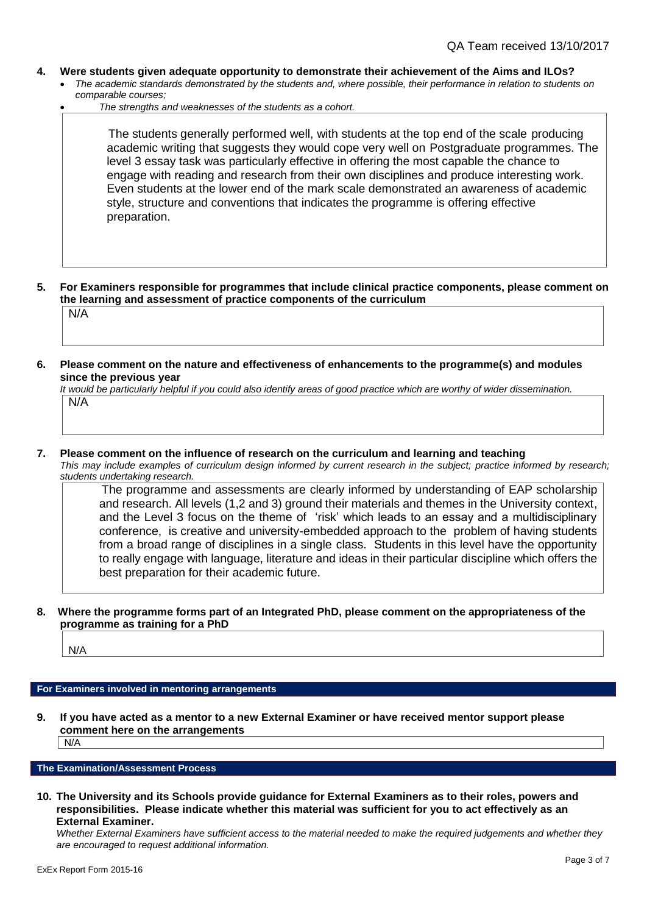- **4. Were students given adequate opportunity to demonstrate their achievement of the Aims and ILOs?**
	- *The academic standards demonstrated by the students and, where possible, their performance in relation to students on comparable courses;* 
		- *The strengths and weaknesses of the students as a cohort.*

 The students generally performed well, with students at the top end of the scale producing academic writing that suggests they would cope very well on Postgraduate programmes. The level 3 essay task was particularly effective in offering the most capable the chance to engage with reading and research from their own disciplines and produce interesting work. Even students at the lower end of the mark scale demonstrated an awareness of academic style, structure and conventions that indicates the programme is offering effective preparation.

- **5. For Examiners responsible for programmes that include clinical practice components, please comment on the learning and assessment of practice components of the curriculum** N/A
- **6. Please comment on the nature and effectiveness of enhancements to the programme(s) and modules since the previous year**

*It would be particularly helpful if you could also identify areas of good practice which are worthy of wider dissemination.*  N/A

**7. Please comment on the influence of research on the curriculum and learning and teaching**

*This may include examples of curriculum design informed by current research in the subject; practice informed by research; students undertaking research.* 

 The programme and assessments are clearly informed by understanding of EAP scholarship and research. All levels (1,2 and 3) ground their materials and themes in the University context, and the Level 3 focus on the theme of 'risk' which leads to an essay and a multidisciplinary conference, is creative and university-embedded approach to the problem of having students from a broad range of disciplines in a single class. Students in this level have the opportunity to really engage with language, literature and ideas in their particular discipline which offers the best preparation for their academic future.

# **8. Where the programme forms part of an Integrated PhD, please comment on the appropriateness of the programme as training for a PhD**

N/A

# **For Examiners involved in mentoring arrangements**

**9. If you have acted as a mentor to a new External Examiner or have received mentor support please comment here on the arrangements**

 $\mid N/A$ 

## **The Examination/Assessment Process**

**10. The University and its Schools provide guidance for External Examiners as to their roles, powers and responsibilities. Please indicate whether this material was sufficient for you to act effectively as an External Examiner.**

*Whether External Examiners have sufficient access to the material needed to make the required judgements and whether they are encouraged to request additional information.*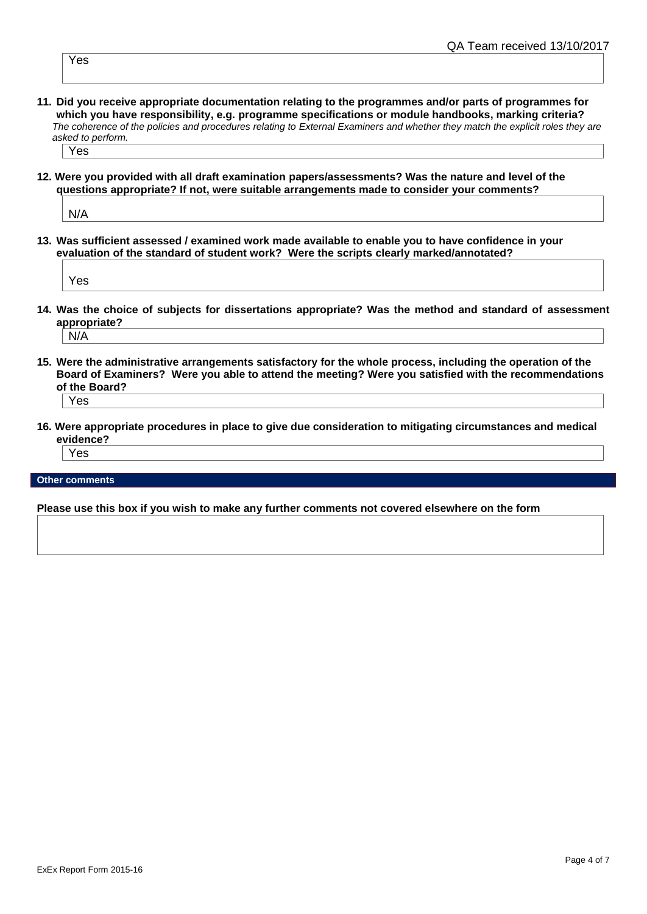Yes

**11. Did you receive appropriate documentation relating to the programmes and/or parts of programmes for which you have responsibility, e.g. programme specifications or module handbooks, marking criteria?** *The coherence of the policies and procedures relating to External Examiners and whether they match the explicit roles they are asked to perform.* 

Yes

**12. Were you provided with all draft examination papers/assessments? Was the nature and level of the questions appropriate? If not, were suitable arrangements made to consider your comments?**

N/A

**13. Was sufficient assessed / examined work made available to enable you to have confidence in your evaluation of the standard of student work? Were the scripts clearly marked/annotated?** 

Yes

- **14. Was the choice of subjects for dissertations appropriate? Was the method and standard of assessment appropriate?** N/A
- **15. Were the administrative arrangements satisfactory for the whole process, including the operation of the Board of Examiners? Were you able to attend the meeting? Were you satisfied with the recommendations of the Board?**

Yes

**16. Were appropriate procedures in place to give due consideration to mitigating circumstances and medical evidence?**

Yes

**Other comments**

**Please use this box if you wish to make any further comments not covered elsewhere on the form**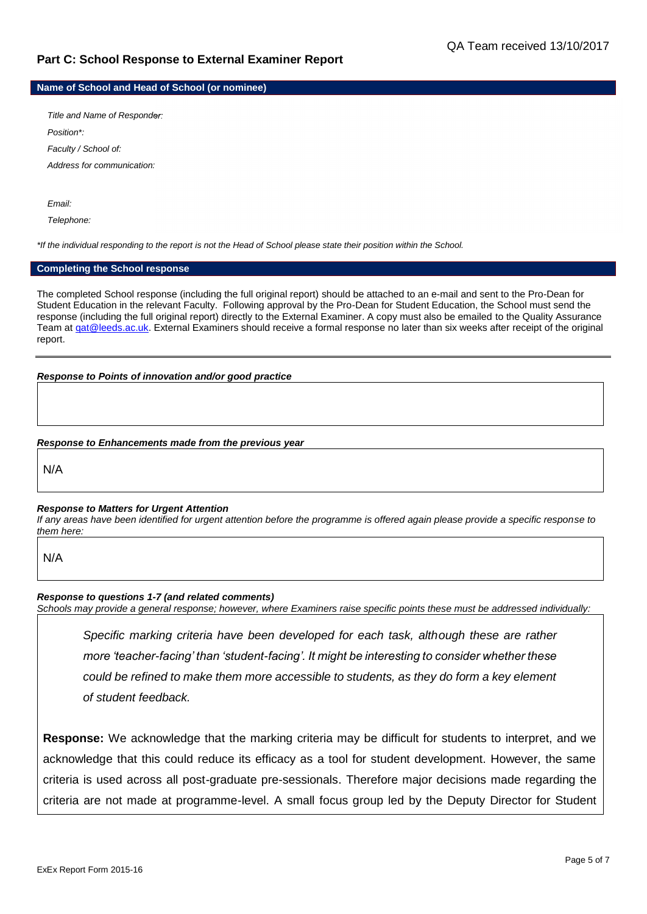# **Part C: School Response to External Examiner Report**

**Name of School and Head of School (or nominee)**

*Title and Name of Responder: Position\*: Faculty / School of: Address for communication:*

*Email:*

*Telephone:*

*\*If the individual responding to the report is not the Head of School please state their position within the School.*

#### **Completing the School response**

The completed School response (including the full original report) should be attached to an e-mail and sent to the Pro-Dean for Student Education in the relevant Faculty. Following approval by the Pro-Dean for Student Education, the School must send the response (including the full original report) directly to the External Examiner. A copy must also be emailed to the Quality Assurance Team at gat@leeds.ac.uk. External Examiners should receive a formal response no later than six weeks after receipt of the original report.

## *Response to Points of innovation and/or good practice*

## *Response to Enhancements made from the previous year*

N/A

# *Response to Matters for Urgent Attention*

*If any areas have been identified for urgent attention before the programme is offered again please provide a specific response to them here:*

N/A

# *Response to questions 1-7 (and related comments)*

*Schools may provide a general response; however, where Examiners raise specific points these must be addressed individually:*

*Specific marking criteria have been developed for each task, although these are rather more 'teacher-facing' than 'student-facing'. It might be interesting to consider whether these could be refined to make them more accessible to students, as they do form a key element of student feedback.*

**Response:** We acknowledge that the marking criteria may be difficult for students to interpret, and we acknowledge that this could reduce its efficacy as a tool for student development. However, the same criteria is used across all post-graduate pre-sessionals. Therefore major decisions made regarding the criteria are not made at programme-level. A small focus group led by the Deputy Director for Student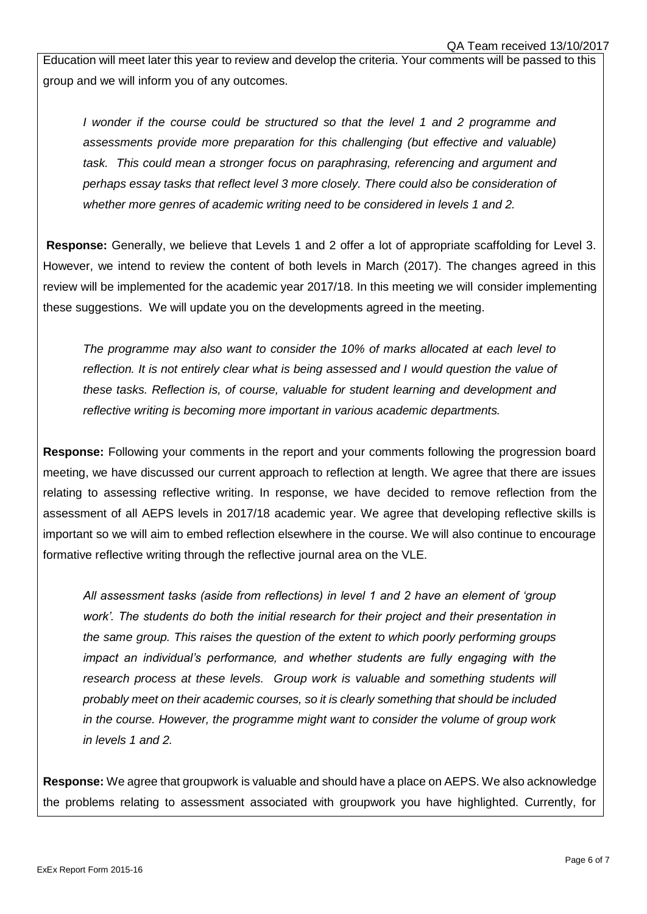Education will meet later this year to review and develop the criteria. Your comments will be passed to this group and we will inform you of any outcomes.

*I* wonder if the course could be structured so that the level 1 and 2 programme and *assessments provide more preparation for this challenging (but effective and valuable) task. This could mean a stronger focus on paraphrasing, referencing and argument and perhaps essay tasks that reflect level 3 more closely. There could also be consideration of whether more genres of academic writing need to be considered in levels 1 and 2.*

**Response:** Generally, we believe that Levels 1 and 2 offer a lot of appropriate scaffolding for Level 3. However, we intend to review the content of both levels in March (2017). The changes agreed in this review will be implemented for the academic year 2017/18. In this meeting we will consider implementing these suggestions. We will update you on the developments agreed in the meeting.

*The programme may also want to consider the 10% of marks allocated at each level to reflection. It is not entirely clear what is being assessed and I would question the value of these tasks. Reflection is, of course, valuable for student learning and development and reflective writing is becoming more important in various academic departments.* 

**Response:** Following your comments in the report and your comments following the progression board meeting, we have discussed our current approach to reflection at length. We agree that there are issues relating to assessing reflective writing. In response, we have decided to remove reflection from the assessment of all AEPS levels in 2017/18 academic year. We agree that developing reflective skills is important so we will aim to embed reflection elsewhere in the course. We will also continue to encourage formative reflective writing through the reflective journal area on the VLE.

*All assessment tasks (aside from reflections) in level 1 and 2 have an element of 'group work'. The students do both the initial research for their project and their presentation in the same group. This raises the question of the extent to which poorly performing groups impact an individual's performance, and whether students are fully engaging with the research process at these levels. Group work is valuable and something students will probably meet on their academic courses, so it is clearly something that should be included in the course. However, the programme might want to consider the volume of group work in levels 1 and 2.* 

**Response:** We agree that groupwork is valuable and should have a place on AEPS. We also acknowledge the problems relating to assessment associated with groupwork you have highlighted. Currently, for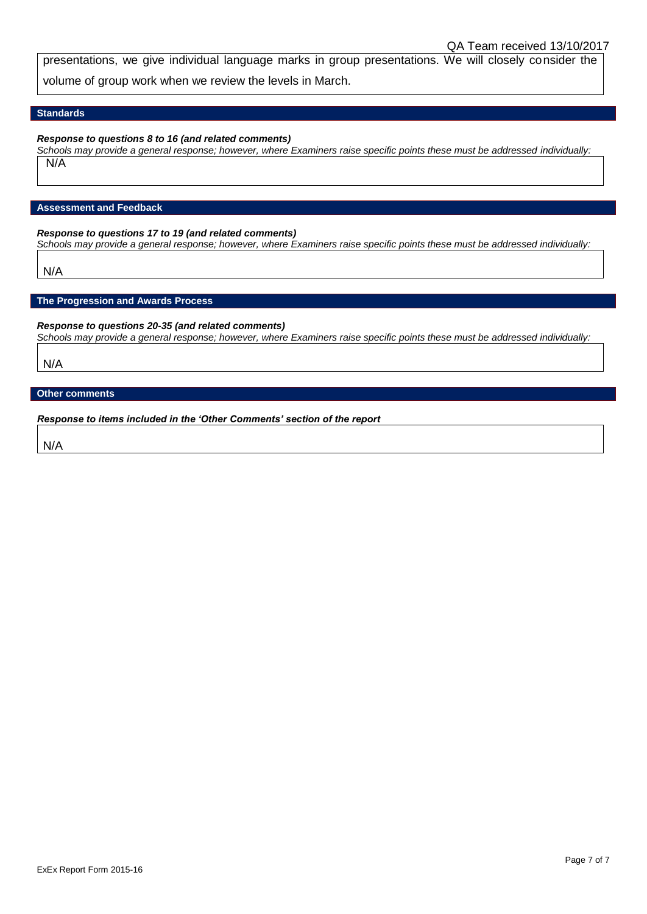presentations, we give individual language marks in group presentations. We will closely consider the volume of group work when we review the levels in March.

## **Standards**

### *Response to questions 8 to 16 (and related comments)*

*Schools may provide a general response; however, where Examiners raise specific points these must be addressed individually:* N/A

## **Assessment and Feedback**

## *Response to questions 17 to 19 (and related comments)*

*Schools may provide a general response; however, where Examiners raise specific points these must be addressed individually:*

N/A

## **The Progression and Awards Process**

## *Response to questions 20-35 (and related comments)*

*Schools may provide a general response; however, where Examiners raise specific points these must be addressed individually:*

N/A

# **Other comments**

*Response to items included in the 'Other Comments' section of the report*

N/A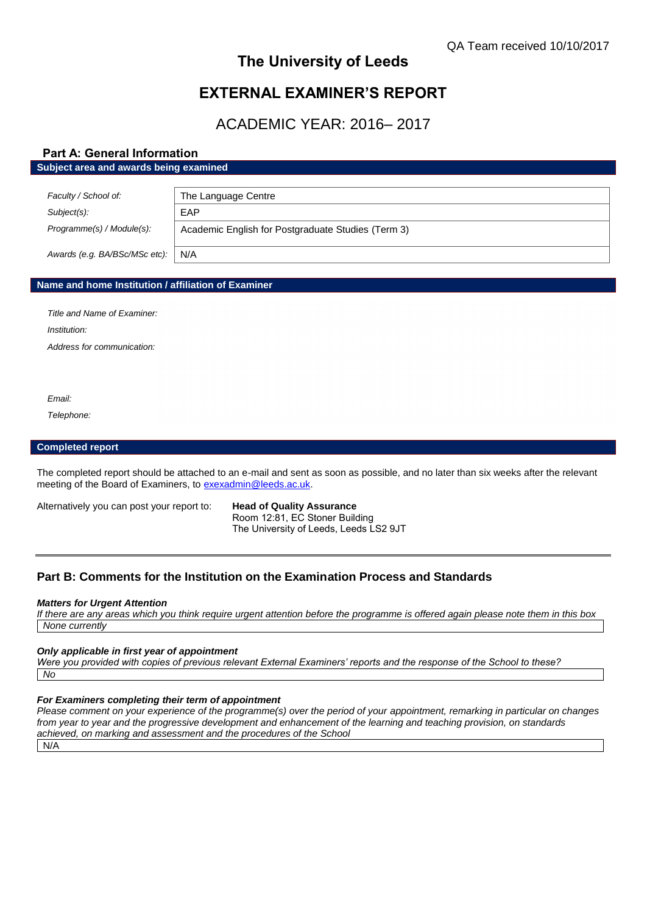# **The University of Leeds**

# **EXTERNAL EXAMINER'S REPORT**

ACADEMIC YEAR: 2016– 2017

# **Part A: General Information**

## **Subject area and awards being examined**

| Faculty / School of:          | The Language Centre                                |
|-------------------------------|----------------------------------------------------|
| Subject(s):                   | EAP                                                |
| Programme(s) / Module(s):     | Academic English for Postgraduate Studies (Term 3) |
| Awards (e.g. BA/BSc/MSc etc): | N/A                                                |

# **Name and home Institution / affiliation of Examiner**

*Title and Name of Examiner: Institution:*

*Address for communication:*

*Email:*

*Telephone:*

#### **Completed report**

The completed report should be attached to an e-mail and sent as soon as possible, and no later than six weeks after the relevant meeting of the Board of Examiners, to [exexadmin@leeds.ac.uk.](mailto:exexadmin@leeds.ac.uk)

Alternatively you can post your report to: **Head of Quality Assurance**

Room 12:81, EC Stoner Building The University of Leeds, Leeds LS2 9JT

# **Part B: Comments for the Institution on the Examination Process and Standards**

#### *Matters for Urgent Attention*

*If there are any areas which you think require urgent attention before the programme is offered again please note them in this box None currently* 

#### *Only applicable in first year of appointment*

*Were you provided with copies of previous relevant External Examiners' reports and the response of the School to these? No*

# *For Examiners completing their term of appointment*

*Please comment on your experience of the programme(s) over the period of your appointment, remarking in particular on changes from year to year and the progressive development and enhancement of the learning and teaching provision, on standards achieved, on marking and assessment and the procedures of the School*

N/A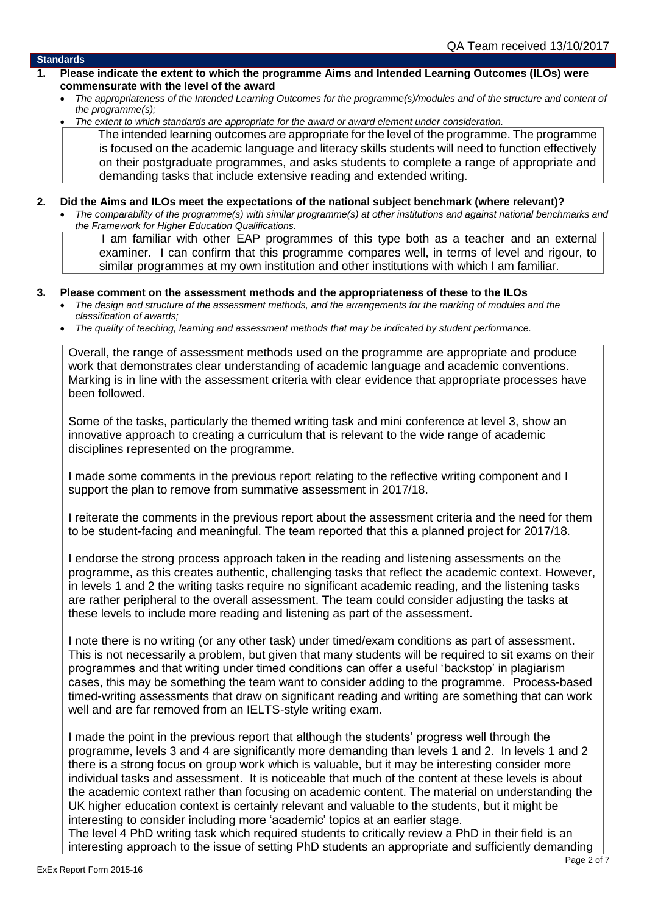## **Standards**

- **1. Please indicate the extent to which the programme Aims and Intended Learning Outcomes (ILOs) were commensurate with the level of the award**
	- *The appropriateness of the Intended Learning Outcomes for the programme(s)/modules and of the structure and content of the programme(s);*
	- *The extent to which standards are appropriate for the award or award element under consideration.*

 The intended learning outcomes are appropriate for the level of the programme. The programme is focused on the academic language and literacy skills students will need to function effectively on their postgraduate programmes, and asks students to complete a range of appropriate and demanding tasks that include extensive reading and extended writing.

- **2. Did the Aims and ILOs meet the expectations of the national subject benchmark (where relevant)?**
	- *The comparability of the programme(s) with similar programme(s) at other institutions and against national benchmarks and the Framework for Higher Education Qualifications.*

 I am familiar with other EAP programmes of this type both as a teacher and an external examiner. I can confirm that this programme compares well, in terms of level and rigour, to similar programmes at my own institution and other institutions with which I am familiar.

# **3. Please comment on the assessment methods and the appropriateness of these to the ILOs**

- *The design and structure of the assessment methods, and the arrangements for the marking of modules and the classification of awards;*
- *The quality of teaching, learning and assessment methods that may be indicated by student performance.*

Overall, the range of assessment methods used on the programme are appropriate and produce work that demonstrates clear understanding of academic language and academic conventions. Marking is in line with the assessment criteria with clear evidence that appropriate processes have been followed.

Some of the tasks, particularly the themed writing task and mini conference at level 3, show an innovative approach to creating a curriculum that is relevant to the wide range of academic disciplines represented on the programme.

I made some comments in the previous report relating to the reflective writing component and I support the plan to remove from summative assessment in 2017/18.

I reiterate the comments in the previous report about the assessment criteria and the need for them to be student-facing and meaningful. The team reported that this a planned project for 2017/18.

I endorse the strong process approach taken in the reading and listening assessments on the programme, as this creates authentic, challenging tasks that reflect the academic context. However, in levels 1 and 2 the writing tasks require no significant academic reading, and the listening tasks are rather peripheral to the overall assessment. The team could consider adjusting the tasks at these levels to include more reading and listening as part of the assessment.

I note there is no writing (or any other task) under timed/exam conditions as part of assessment. This is not necessarily a problem, but given that many students will be required to sit exams on their programmes and that writing under timed conditions can offer a useful 'backstop' in plagiarism cases, this may be something the team want to consider adding to the programme. Process-based timed-writing assessments that draw on significant reading and writing are something that can work well and are far removed from an IELTS-style writing exam.

I made the point in the previous report that although the students' progress well through the programme, levels 3 and 4 are significantly more demanding than levels 1 and 2. In levels 1 and 2 there is a strong focus on group work which is valuable, but it may be interesting consider more individual tasks and assessment. It is noticeable that much of the content at these levels is about the academic context rather than focusing on academic content. The material on understanding the UK higher education context is certainly relevant and valuable to the students, but it might be interesting to consider including more 'academic' topics at an earlier stage.

The level 4 PhD writing task which required students to critically review a PhD in their field is an interesting approach to the issue of setting PhD students an appropriate and sufficiently demanding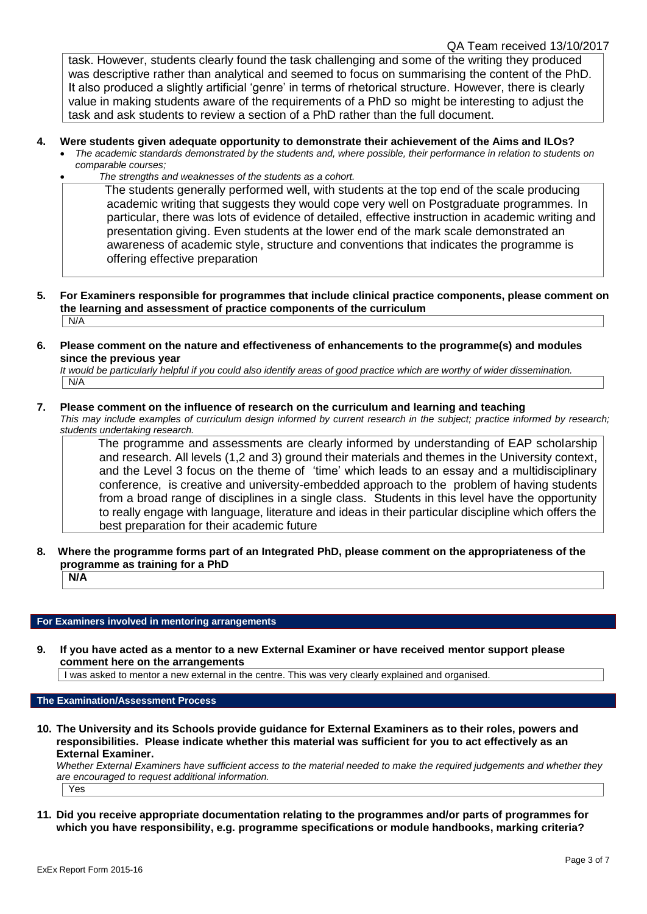task. However, students clearly found the task challenging and some of the writing they produced was descriptive rather than analytical and seemed to focus on summarising the content of the PhD. It also produced a slightly artificial 'genre' in terms of rhetorical structure. However, there is clearly value in making students aware of the requirements of a PhD so might be interesting to adjust the task and ask students to review a section of a PhD rather than the full document.

# **4. Were students given adequate opportunity to demonstrate their achievement of the Aims and ILOs?**

- *The academic standards demonstrated by the students and, where possible, their performance in relation to students on comparable courses;* 
	- *The strengths and weaknesses of the students as a cohort.*

 The students generally performed well, with students at the top end of the scale producing academic writing that suggests they would cope very well on Postgraduate programmes. In particular, there was lots of evidence of detailed, effective instruction in academic writing and presentation giving. Even students at the lower end of the mark scale demonstrated an awareness of academic style, structure and conventions that indicates the programme is offering effective preparation

- **5. For Examiners responsible for programmes that include clinical practice components, please comment on the learning and assessment of practice components of the curriculum** N/A
- **6. Please comment on the nature and effectiveness of enhancements to the programme(s) and modules since the previous year**

*It would be particularly helpful if you could also identify areas of good practice which are worthy of wider dissemination.*  N/A

# **7. Please comment on the influence of research on the curriculum and learning and teaching**

*This may include examples of curriculum design informed by current research in the subject; practice informed by research; students undertaking research.* 

 The programme and assessments are clearly informed by understanding of EAP scholarship and research. All levels (1,2 and 3) ground their materials and themes in the University context, and the Level 3 focus on the theme of 'time' which leads to an essay and a multidisciplinary conference, is creative and university-embedded approach to the problem of having students from a broad range of disciplines in a single class. Students in this level have the opportunity to really engage with language, literature and ideas in their particular discipline which offers the best preparation for their academic future

**8. Where the programme forms part of an Integrated PhD, please comment on the appropriateness of the programme as training for a PhD N/A**

# **For Examiners involved in mentoring arrangements**

**9. If you have acted as a mentor to a new External Examiner or have received mentor support please comment here on the arrangements**

I was asked to mentor a new external in the centre. This was very clearly explained and organised.

**The Examination/Assessment Process**

**10. The University and its Schools provide guidance for External Examiners as to their roles, powers and responsibilities. Please indicate whether this material was sufficient for you to act effectively as an External Examiner.**

*Whether External Examiners have sufficient access to the material needed to make the required judgements and whether they are encouraged to request additional information.*

Yes

**11. Did you receive appropriate documentation relating to the programmes and/or parts of programmes for which you have responsibility, e.g. programme specifications or module handbooks, marking criteria?**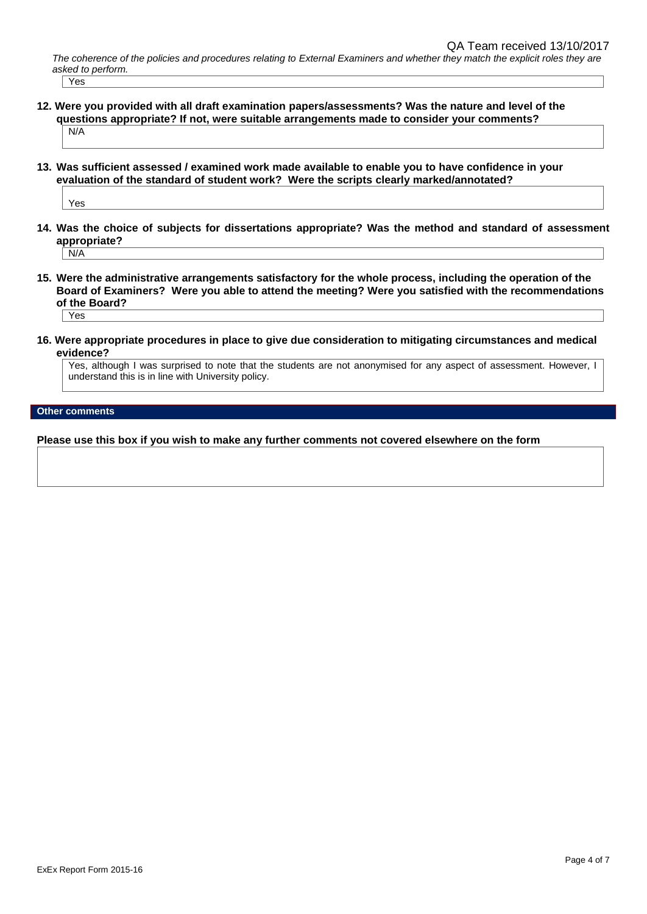*The coherence of the policies and procedures relating to External Examiners and whether they match the explicit roles they are asked to perform.*  Yes

- **12. Were you provided with all draft examination papers/assessments? Was the nature and level of the questions appropriate? If not, were suitable arrangements made to consider your comments?** N/A
- **13. Was sufficient assessed / examined work made available to enable you to have confidence in your evaluation of the standard of student work? Were the scripts clearly marked/annotated?**

Yes

**14. Was the choice of subjects for dissertations appropriate? Was the method and standard of assessment appropriate?**

N/A

- **15. Were the administrative arrangements satisfactory for the whole process, including the operation of the Board of Examiners? Were you able to attend the meeting? Were you satisfied with the recommendations of the Board?** Yes
- **16. Were appropriate procedures in place to give due consideration to mitigating circumstances and medical evidence?**

Yes, although I was surprised to note that the students are not anonymised for any aspect of assessment. However, I understand this is in line with University policy.

## **Other comments**

**Please use this box if you wish to make any further comments not covered elsewhere on the form**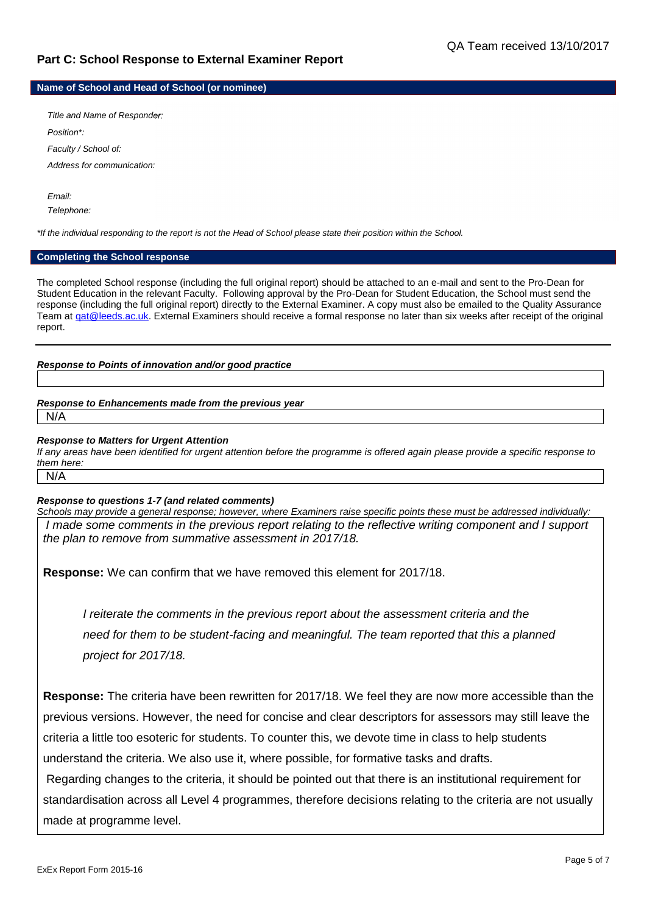# **Part C: School Response to External Examiner Report**

**Name of School and Head of School (or nominee)**

*Title and Name of Responder: Position\*: Faculty / School of: Address for communication:*

*Email: Telephone:*

*\*If the individual responding to the report is not the Head of School please state their position within the School.*

# **Completing the School response**

The completed School response (including the full original report) should be attached to an e-mail and sent to the Pro-Dean for Student Education in the relevant Faculty. Following approval by the Pro-Dean for Student Education, the School must send the response (including the full original report) directly to the External Examiner. A copy must also be emailed to the Quality Assurance Team a[t qat@leeds.ac.uk.](mailto:qat@leeds.ac.uk) External Examiners should receive a formal response no later than six weeks after receipt of the original report.

# *Response to Points of innovation and/or good practice*

#### *Response to Enhancements made from the previous year* N/A

## *Response to Matters for Urgent Attention*

*If any areas have been identified for urgent attention before the programme is offered again please provide a specific response to them here:* N/A

# *Response to questions 1-7 (and related comments)*

*Schools may provide a general response; however, where Examiners raise specific points these must be addressed individually: I* made some comments in the previous report relating to the reflective writing component and *I* support *the plan to remove from summative assessment in 2017/18.*

**Response:** We can confirm that we have removed this element for 2017/18.

*I reiterate the comments in the previous report about the assessment criteria and the need for them to be student-facing and meaningful. The team reported that this a planned project for 2017/18.* 

**Response:** The criteria have been rewritten for 2017/18. We feel they are now more accessible than the previous versions. However, the need for concise and clear descriptors for assessors may still leave the criteria a little too esoteric for students. To counter this, we devote time in class to help students understand the criteria. We also use it, where possible, for formative tasks and drafts.

Regarding changes to the criteria, it should be pointed out that there is an institutional requirement for standardisation across all Level 4 programmes, therefore decisions relating to the criteria are not usually made at programme level.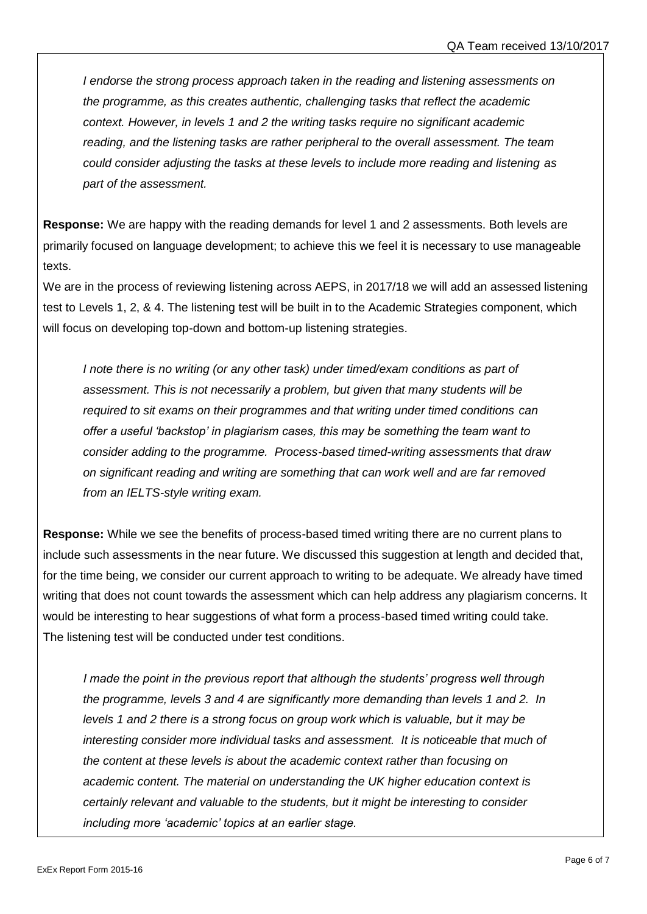*I endorse the strong process approach taken in the reading and listening assessments on the programme, as this creates authentic, challenging tasks that reflect the academic context. However, in levels 1 and 2 the writing tasks require no significant academic reading, and the listening tasks are rather peripheral to the overall assessment. The team could consider adjusting the tasks at these levels to include more reading and listening as part of the assessment.*

**Response:** We are happy with the reading demands for level 1 and 2 assessments. Both levels are primarily focused on language development; to achieve this we feel it is necessary to use manageable texts.

We are in the process of reviewing listening across AEPS, in 2017/18 we will add an assessed listening test to Levels 1, 2, & 4. The listening test will be built in to the Academic Strategies component, which will focus on developing top-down and bottom-up listening strategies.

*I* note there is no writing (or any other task) under timed/exam conditions as part of *assessment. This is not necessarily a problem, but given that many students will be required to sit exams on their programmes and that writing under timed conditions can offer a useful 'backstop' in plagiarism cases, this may be something the team want to consider adding to the programme. Process-based timed-writing assessments that draw on significant reading and writing are something that can work well and are far removed from an IELTS-style writing exam.* 

**Response:** While we see the benefits of process-based timed writing there are no current plans to include such assessments in the near future. We discussed this suggestion at length and decided that, for the time being, we consider our current approach to writing to be adequate. We already have timed writing that does not count towards the assessment which can help address any plagiarism concerns. It would be interesting to hear suggestions of what form a process-based timed writing could take. The listening test will be conducted under test conditions.

*I* made the point in the previous report that although the students' progress well through *the programme, levels 3 and 4 are significantly more demanding than levels 1 and 2. In levels 1 and 2 there is a strong focus on group work which is valuable, but it may be interesting consider more individual tasks and assessment. It is noticeable that much of the content at these levels is about the academic context rather than focusing on academic content. The material on understanding the UK higher education context is certainly relevant and valuable to the students, but it might be interesting to consider including more 'academic' topics at an earlier stage.*